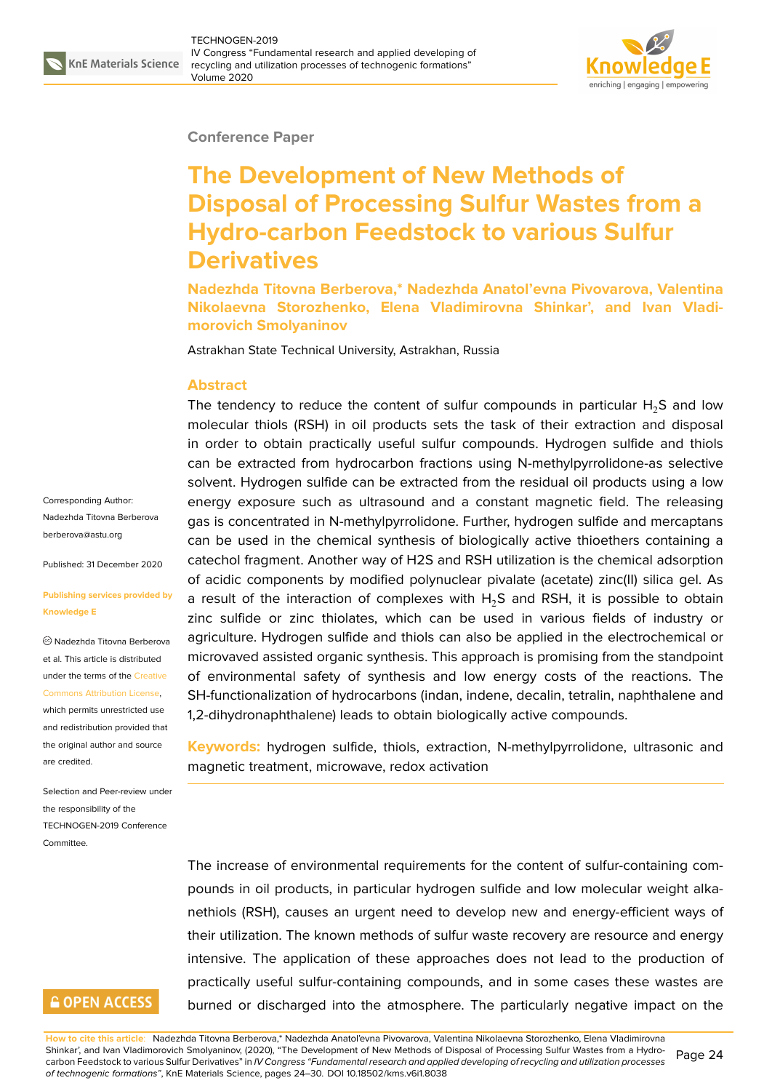

### **Conference Paper**

# **The Development of New Methods of Disposal of Processing Sulfur Wastes from a Hydro-carbon Feedstock to various Sulfur Derivatives**

**Nadezhda Titovna Berberova,\* Nadezhda Anatol'evna Pivovarova, Valentina Nikolaevna Storozhenko, Elena Vladimirovna Shinkar', and Ivan Vladimorovich Smolyaninov**

Astrakhan State Technical University, Astrakhan, Russia

## **Abstract**

The tendency to reduce the content of sulfur compounds in particular  $H_2S$  and low molecular thiols (RSH) in oil products sets the task of their extraction and disposal in order to obtain practically useful sulfur compounds. Hydrogen sulfide and thiols can be extracted from hydrocarbon fractions using N-methylpyrrolidone-as selective solvent. Hydrogen sulfide can be extracted from the residual oil products using a low energy exposure such as ultrasound and a constant magnetic field. The releasing gas is concentrated in N-methylpyrrolidone. Further, hydrogen sulfide and mercaptans can be used in the chemical synthesis of biologically active thioethers containing a catechol fragment. Another way of H2S and RSH utilization is the chemical adsorption of acidic components by modified polynuclear pivalate (acetate) zinc(II) silica gel. As a result of the interaction of complexes with  $H_2S$  and RSH, it is possible to obtain zinc sulfide or zinc thiolates, which can be used in various fields of industry or agriculture. Hydrogen sulfide and thiols can also be applied in the electrochemical or microvaved assisted organic synthesis. This approach is promising from the standpoint of environmental safety of synthesis and low energy costs of the reactions. The SH-functionalization of hydrocarbons (indan, indene, decalin, tetralin, naphthalene and 1,2-dihydronaphthalene) leads to obtain biologically active compounds.

**Keywords:** hydrogen sulfide, thiols, extraction, N-methylpyrrolidone, ultrasonic and magnetic treatment, microwave, redox activation

The increase of environmental requirements for the content of sulfur-containing compounds in oil products, in particular hydrogen sulfide and low molecular weight alkanethiols (RSH), causes an urgent need to develop new and energy-efficient ways of their utilization. The known methods of sulfur waste recovery are resource and energy intensive. The application of these approaches does not lead to the production of practically useful sulfur-containing compounds, and in some cases these wastes are burned or discharged into the atmosphere. The particularly negative impact on the

Corresponding Author: Nadezhda Titovna Berberova berberova@astu.org

Published: 31 December 2020

#### **[Publishing services](mailto:berberova@astu.org) provided by Knowledge E**

Nadezhda Titovna Berberova et al. This article is distributed under the terms of the Creative Commons Attribution License,

which permits unrestricted use and redistribution provided that the original author and [source](https://creativecommons.org/licenses/by/4.0/) [are credited.](https://creativecommons.org/licenses/by/4.0/)

Selection and Peer-review under the responsibility of the TECHNOGEN-2019 Conference Committee.

## **GOPEN ACCESS**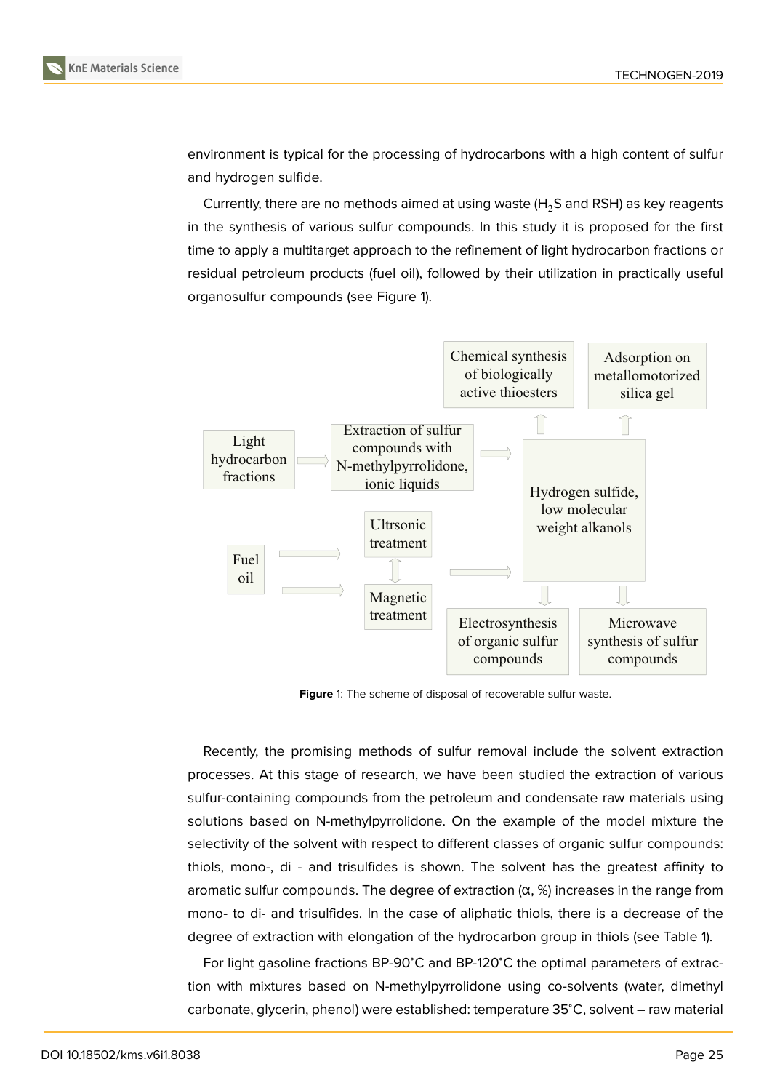environment is typical for the processing of hydrocarbons with a high content of sulfur and hydrogen sulfide.

Currently, there are no methods aimed at using waste  $(H<sub>2</sub>S$  and RSH) as key reagents in the synthesis of various sulfur compounds. In this study it is proposed for the first time to apply a multitarget approach to the refinement of light hydrocarbon fractions or residual petroleum products (fuel oil), followed by their utilization in practically useful organosulfur compounds (see Figure 1).



**Figure** 1: The scheme of disposal of recoverable sulfur waste.

Recently, the promising methods of sulfur removal include the solvent extraction processes. At this stage of research, we have been studied the extraction of various sulfur-containing compounds from the petroleum and condensate raw materials using solutions based on N-methylpyrrolidone. On the example of the model mixture the selectivity of the solvent with respect to different classes of organic sulfur compounds: thiols, mono-, di - and trisulfides is shown. The solvent has the greatest affinity to aromatic sulfur compounds. The degree of extraction (α, %) increases in the range from mono- to di- and trisulfides. In the case of aliphatic thiols, there is a decrease of the degree of extraction with elongation of the hydrocarbon group in thiols (see Table 1).

For light gasoline fractions BP-90<sup>∘</sup>C and BP-120<sup>∘</sup>C the optimal parameters of extraction with mixtures based on N-methylpyrrolidone using co-solvents (water, dimethyl carbonate, glycerin, phenol) were established: temperature 35<sup>∘</sup>C, solvent – raw material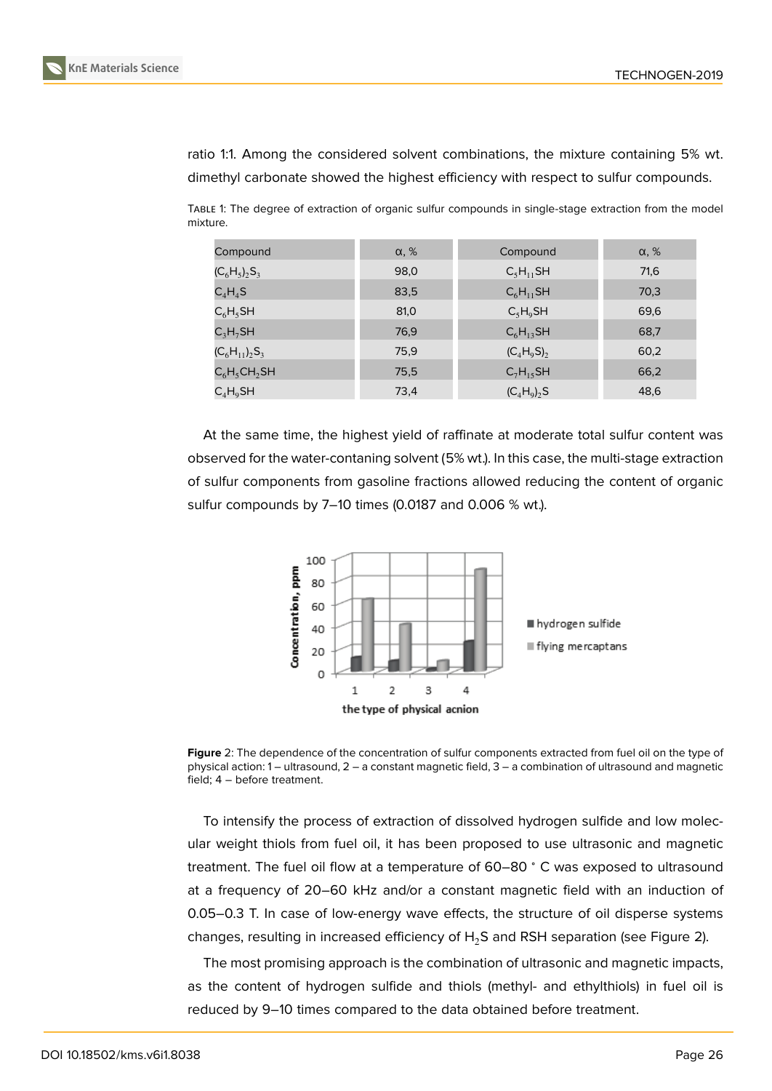ratio 1:1. Among the considered solvent combinations, the mixture containing 5% wt. dimethyl carbonate showed the highest efficiency with respect to sulfur compounds.

| Compound           | $\alpha$ , % | Compound      | $\alpha$ , % |
|--------------------|--------------|---------------|--------------|
| $(C_6H_5)_2S_3$    | 98,0         | $C_5H_{11}SH$ | 71,6         |
| $C_4H_4S$          | 83,5         | $C_6H_{11}SH$ | 70,3         |
| $C_6H_5SH$         | 81,0         | $C_5H_9SH$    | 69,6         |
| $C_3H_7SH$         | 76,9         | $C_6H_{13}SH$ | 68,7         |
| $(C_6H_{11})_2S_3$ | 75.9         | $(C_4H_9S)_2$ | 60,2         |
| $C_6H_5CH_2SH$     | 75,5         | $C_7H_{15}SH$ | 66,2         |
| $C_4H_9SH$         | 73,4         | $(C_4H_9)_2S$ | 48,6         |

TABLE 1: The degree of extraction of organic sulfur compounds in single-stage extraction from the model mixture.

At the same time, the highest yield of raffinate at moderate total sulfur content was observed for the water-contaning solvent (5% wt.). In this case, the multi-stage extraction of sulfur components from gasoline fractions allowed reducing the content of organic sulfur compounds by 7–10 times (0.0187 and 0.006 % wt.).



**Figure** 2: The dependence of the concentration of sulfur components extracted from fuel oil on the type of physical action: 1 – ultrasound, 2 – a constant magnetic field, 3 – a combination of ultrasound and magnetic field; 4 – before treatment.

To intensify the process of extraction of dissolved hydrogen sulfide and low molecular weight thiols from fuel oil, it has been proposed to use ultrasonic and magnetic treatment. The fuel oil flow at a temperature of 60–80 <sup>∘</sup> C was exposed to ultrasound at a frequency of 20–60 kHz and/or a constant magnetic field with an induction of 0.05–0.3 T. In case of low-energy wave effects, the structure of oil disperse systems changes, resulting in increased efficiency of  $H_2S$  and RSH separation (see Figure 2).

The most promising approach is the combination of ultrasonic and magnetic impacts, as the content of hydrogen sulfide and thiols (methyl- and ethylthiols) in fuel oil is reduced by 9–10 times compared to the data obtained before treatment.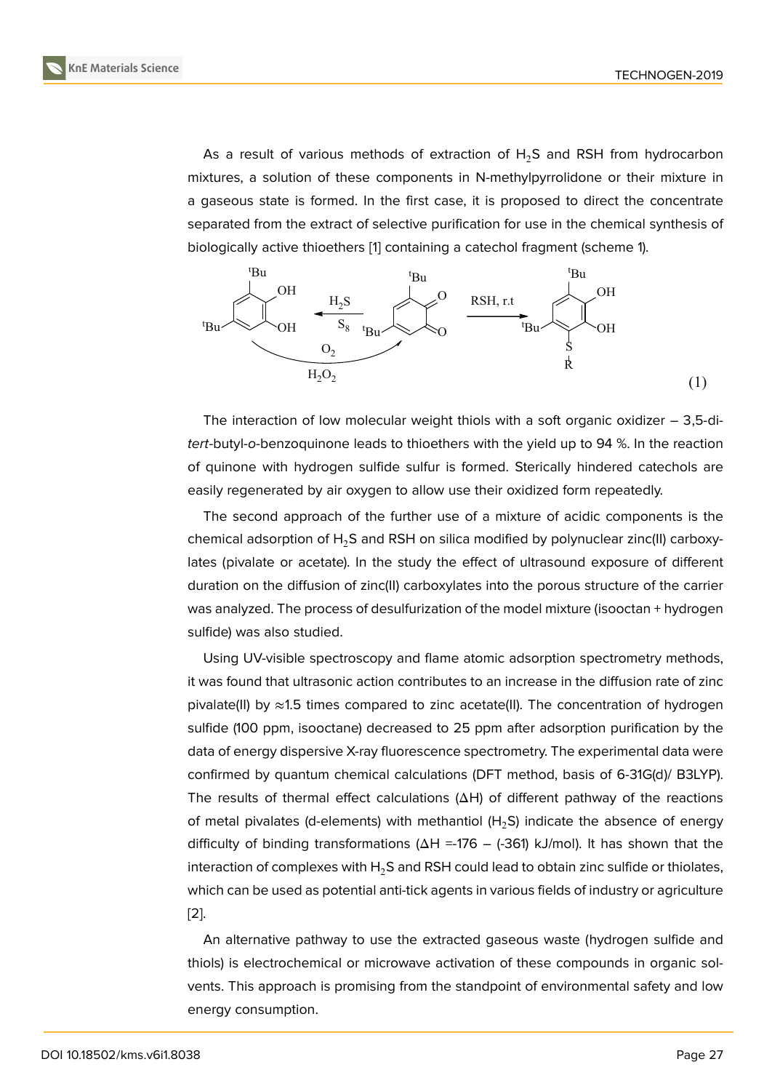As a result of various methods of extraction of  $H_2S$  and RSH from hydrocarbon mixtures, a solution of these components in N-methylpyrrolidone or their mixture in a gaseous state is formed. In the first case, it is proposed to direct the concentrate separated from the extract of selective purification for use in the chemical synthesis of biologically active thioethers [1] containing a catechol fragment (scheme 1).



The interaction of low molecular weight thiols with a soft organic oxidizer  $-3,5$ -di*tert*-butyl-*o*-benzoquinone leads to thioethers with the yield up to 94 %. In the reaction of quinone with hydrogen sulfide sulfur is formed. Sterically hindered catechols are easily regenerated by air oxygen to allow use their oxidized form repeatedly.

The second approach of the further use of a mixture of acidic components is the chemical adsorption of  $H_2S$  and RSH on silica modified by polynuclear zinc(II) carboxylates (pivalate or acetate). In the study the effect of ultrasound exposure of different duration on the diffusion of zinc(II) carboxylates into the porous structure of the carrier was analyzed. The process of desulfurization of the model mixture (isooctan + hydrogen sulfide) was also studied.

Using UV-visible spectroscopy and flame atomic adsorption spectrometry methods, it was found that ultrasonic action contributes to an increase in the diffusion rate of zinc pivalate(II) by  $\approx$ 1.5 times compared to zinc acetate(II). The concentration of hydrogen sulfide (100 ppm, isooctane) decreased to 25 ppm after adsorption purification by the data of energy dispersive X-ray fluorescence spectrometry. The experimental data were confirmed by quantum chemical calculations (DFT method, basis of 6-31G(d)/ B3LYP). The results of thermal effect calculations (ΔH) of different pathway of the reactions of metal pivalates (d-elements) with methantiol  $(H<sub>2</sub>S)$  indicate the absence of energy difficulty of binding transformations ( $\Delta H = -176 - (-361)$  kJ/mol). It has shown that the interaction of complexes with  $H_2S$  and RSH could lead to obtain zinc sulfide or thiolates, which can be used as potential anti-tick agents in various fields of industry or agriculture [2].

An alternative pathway to use the extracted gaseous waste (hydrogen sulfide and thiols) is electrochemical or microwave activation of these compounds in organic sol[ve](#page-6-0)nts. This approach is promising from the standpoint of environmental safety and low energy consumption.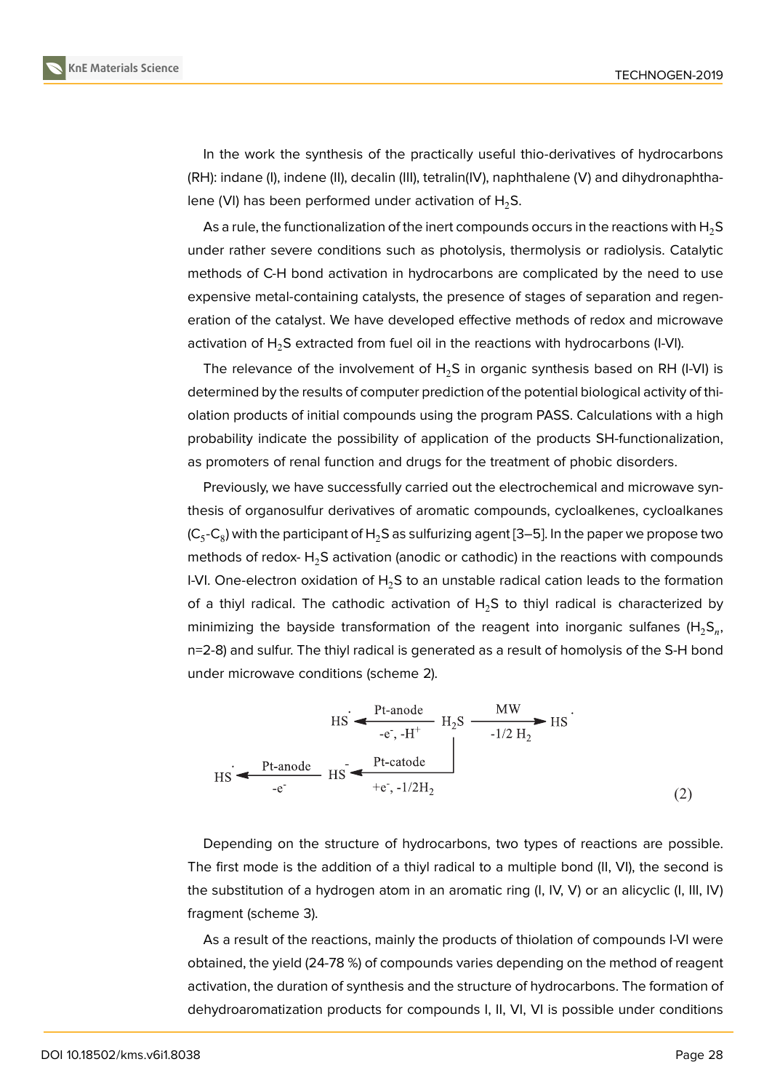In the work the synthesis of the practically useful thio-derivatives of hydrocarbons (RH): indane (I), indene (II), decalin (III), tetralin(IV), naphthalene (V) and dihydronaphthalene (VI) has been performed under activation of  $H_2S$ .

As a rule, the functionalization of the inert compounds occurs in the reactions with  $H_2S$ under rather severe conditions such as photolysis, thermolysis or radiolysis. Catalytic methods of C-H bond activation in hydrocarbons are complicated by the need to use expensive metal-containing catalysts, the presence of stages of separation and regeneration of the catalyst. We have developed effective methods of redox and microwave activation of  $H_2S$  extracted from fuel oil in the reactions with hydrocarbons (I-VI).

The relevance of the involvement of  $H_2S$  in organic synthesis based on RH (I-VI) is determined by the results of computer prediction of the potential biological activity of thiolation products of initial compounds using the program PASS. Calculations with a high probability indicate the possibility of application of the products SH-functionalization, as promoters of renal function and drugs for the treatment of phobic disorders.

Previously, we have successfully carried out the electrochemical and microwave synthesis of organosulfur derivatives of aromatic compounds, cycloalkenes, cycloalkanes (C<sub>5</sub>-C<sub>8</sub>) with the participant of H<sub>2</sub>S as sulfurizing agent [3–5]. In the paper we propose two methods of redox- $H_2S$  activation (anodic or cathodic) in the reactions with compounds I-VI. One-electron oxidation of  $H_2S$  to an unstable radical cation leads to the formation of a t[hiy](#page-6-2)l radical. The cathodic activation of  $H_2S$  t[o t](#page-6-1)hiyl radical is characterized by minimizing the bayside transformation of the reagent into inorganic sulfanes (H<sub>2</sub>S<sub>n</sub>, n=2-8) and sulfur. The thiyl radical is generated as a result of homolysis of the S-H bond under microwave conditions (scheme 2).

$$
HS \xrightarrow{-e^-,-H^+} H_2S \xrightarrow{-1/2 H_2} HS
$$
  
 
$$
HS \xrightarrow{-e^-,-H^+} H_2S \xrightarrow{-1/2 H_2} HS
$$
  
 
$$
H_2S \xrightarrow{-1/2 H_2} (2)
$$

Depending on the structure of hydrocarbons, two types of reactions are possible. The first mode is the addition of a thiyl radical to a multiple bond (II, VI), the second is the substitution of a hydrogen atom in an aromatic ring (I, IV, V) or an alicyclic (I, III, IV) fragment (scheme 3).

As a result of the reactions, mainly the products of thiolation of compounds I-VI were obtained, the yield (24-78 %) of compounds varies depending on the method of reagent activation, the duration of synthesis and the structure of hydrocarbons. The formation of dehydroaromatization products for compounds I, II, VI, VI is possible under conditions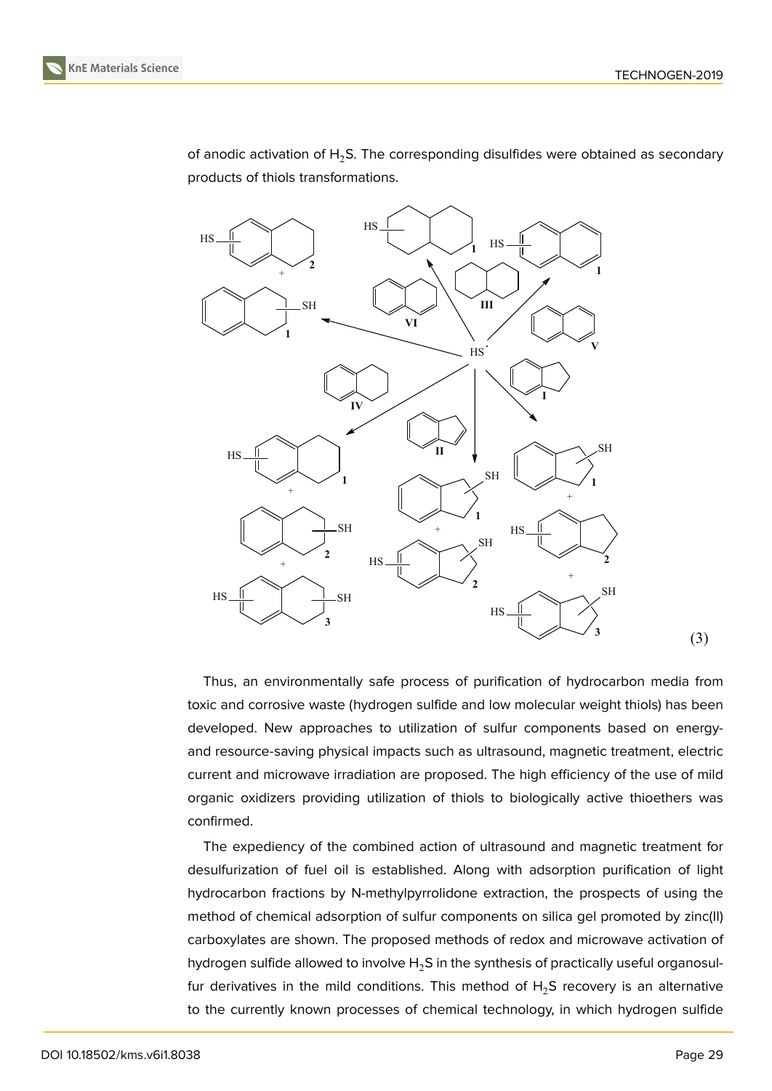

of anodic activation of  $H_2S$ . The corresponding disulfides were obtained as secondary products of thiols transformations.



Thus, an environmentally safe process of purification of hydrocarbon media from toxic and corrosive waste (hydrogen sulfide and low molecular weight thiols) has been developed. New approaches to utilization of sulfur components based on energyand resource-saving physical impacts such as ultrasound, magnetic treatment, electric current and microwave irradiation are proposed. The high efficiency of the use of mild organic oxidizers providing utilization of thiols to biologically active thioethers was confirmed.

The expediency of the combined action of ultrasound and magnetic treatment for desulfurization of fuel oil is established. Along with adsorption purification of light hydrocarbon fractions by N-methylpyrrolidone extraction, the prospects of using the method of chemical adsorption of sulfur components on silica gel promoted by zinc(II) carboxylates are shown. The proposed methods of redox and microwave activation of hydrogen sulfide allowed to involve  $H_2S$  in the synthesis of practically useful organosulfur derivatives in the mild conditions. This method of  $H_2S$  recovery is an alternative to the currently known processes of chemical technology, in which hydrogen sulfide